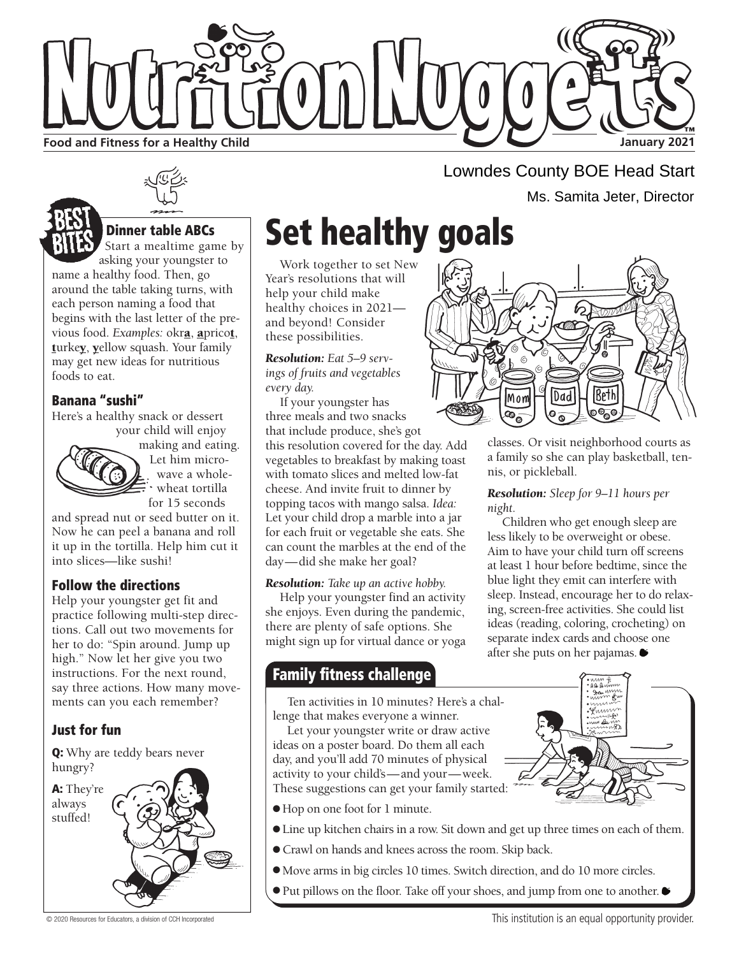

Start a mealtime game by asking your youngster to

name a healthy food. Then, go around the table taking turns, with each person naming a food that begins with the last letter of the previous food. *Examples:* okra, apricot, turkey, yellow squash. Your family may get new ideas for nutritious foods to eat.

### Banana "sushi"

Here's a healthy snack or dessert your child will enjoy



making and eating. Let him microwave a wholewheat tortilla for 15 seconds

and spread nut or seed butter on it. Now he can peel a banana and roll it up in the tortilla. Help him cut it into slices—like sushi!

### Follow the directions

Help your youngster get fit and practice following multi-step directions. Call out two movements for her to do: "Spin around. Jump up high." Now let her give you two instructions. For the next round, say three actions. How many movements can you each remember?

### Just for fun

Q: Why are teddy bears never hungry?

A: They're



# Dinner table ABCs  $\sum_{\text{Start a medtime} \text{ square by}}$  Set healthy goals

Work together to set New Year's resolutions that will help your child make healthy choices in 2021 and beyond! Consider these possibilities.

*Resolution: Eat 5–9 servings of fruits and vegetables every day.*

If your youngster has three meals and two snacks that include produce, she's got this resolution covered for the day. Add vegetables to breakfast by making toast with tomato slices and melted low-fat cheese. And invite fruit to dinner by topping tacos with mango salsa. *Idea:* Let your child drop a marble into a jar for each fruit or vegetable she eats. She can count the marbles at the end of the day—did she make her goal?

### *Resolution: Take up an active hobby.*

Help your youngster find an activity she enjoys. Even during the pandemic, there are plenty of safe options. She might sign up for virtual dance or yoga

### **Family fitness challenge**

Ten activities in 10 minutes? Here's a challenge that makes everyone a winner.

Let your youngster write or draw active ideas on a poster board. Do them all each day, and you'll add 70 minutes of physical activity to your child's—and your—week. These suggestions can get your family started:

- Hop on one foot for 1 minute.
- Line up kitchen chairs in a row. Sit down and get up three times on each of them.
- Crawl on hands and knees across the room. Skip back.
- Move arms in big circles 10 times. Switch direction, and do 10 more circles.
- Put pillows on the floor. Take off your shoes, and jump from one to another. ●

Lowndes County BOE Head Start Ms. Samita Jeter, Director



classes. Or visit neighborhood courts as a family so she can play basketball, tennis, or pickleball.

### *Resolution: Sleep for 9–11 hours per night.*

Children who get enough sleep are less likely to be overweight or obese. Aim to have your child turn off screens at least 1 hour before bedtime, since the blue light they emit can interfere with sleep. Instead, encourage her to do relaxing, screen-free activities. She could list ideas (reading, coloring, crocheting) on separate index cards and choose one after she puts on her pajamas.